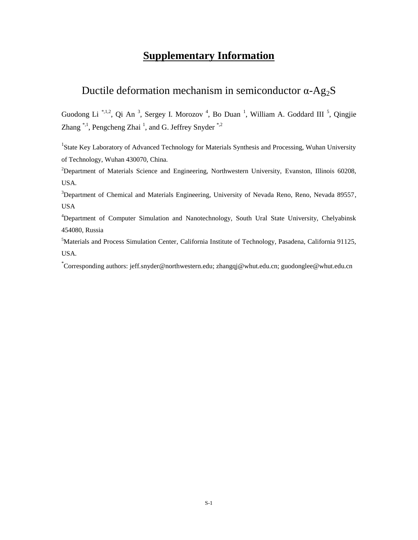## **Supplementary Information**

## Ductile deformation mechanism in semiconductor  $\alpha$ -Ag<sub>2</sub>S

Guodong Li<sup>\*,1,2</sup>, Qi An<sup>3</sup>, Sergey I. Morozov<sup>4</sup>, Bo Duan<sup>1</sup>, William A. Goddard III<sup>5</sup>, Qingjie Zhang  $\overset{*,1}{\ldots}$  Pengcheng Zhai<sup>1</sup>, and G. Jeffrey Snyder<sup> $\overset{*,2}{\ldots}$ </sup>

<sup>1</sup>State Key Laboratory of Advanced Technology for Materials Synthesis and Processing, Wuhan University of Technology, Wuhan 430070, China.

<sup>2</sup>Department of Materials Science and Engineering, Northwestern University, Evanston, Illinois 60208, USA.

<sup>3</sup>Department of Chemical and Materials Engineering, University of Nevada Reno, Reno, Nevada 89557, USA

<sup>4</sup>Department of Computer Simulation and Nanotechnology, South Ural State University, Chelyabinsk 454080, Russia

<sup>5</sup>Materials and Process Simulation Center, California Institute of Technology, Pasadena, California 91125, USA.

\* Corresponding authors: jeff.snyder@northwestern.edu; zhangqj@whut.edu.cn; guodonglee@whut.edu.cn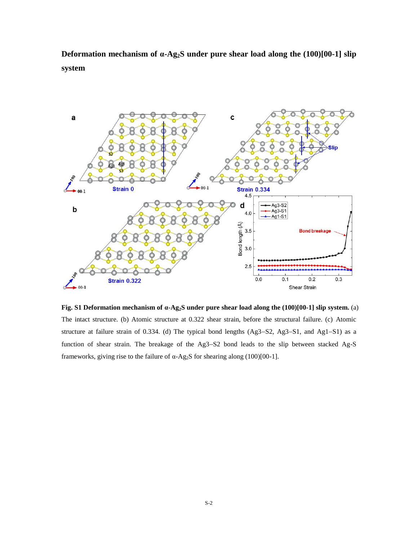**Deformation mechanism of α-Ag2S under pure shear load along the (100)[00-1] slip system**



**Fig. S1 Deformation mechanism of α-Ag2S under pure shear load along the (100)[00-1] slip system.** (a) The intact structure. (b) Atomic structure at 0.322 shear strain, before the structural failure. (c) Atomic structure at failure strain of 0.334. (d) The typical bond lengths (Ag3-S2, Ag3-S1, and Ag1-S1) as a function of shear strain. The breakage of the Ag3-S2 bond leads to the slip between stacked Ag-S frameworks, giving rise to the failure of α-Ag2S for shearing along (100)[00-1].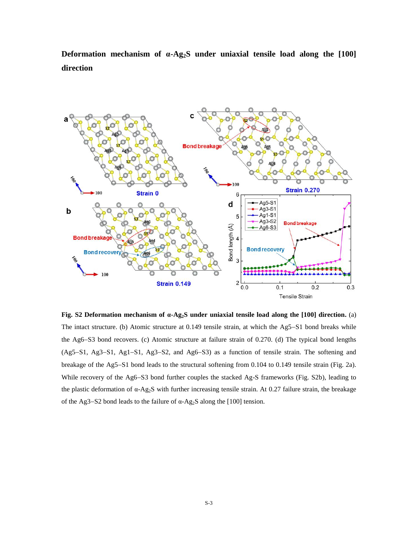**Deformation mechanism of α-Ag2S under uniaxial tensile load along the [100] direction**



**Fig. S2 Deformation mechanism of α-Ag2S under uniaxial tensile load along the [100] direction.** (a) The intact structure. (b) Atomic structure at 0.149 tensile strain, at which the Ag5-S1 bond breaks while the Ag6–S3 bond recovers. (c) Atomic structure at failure strain of  $0.270$ . (d) The typical bond lengths (Ag5-S1, Ag3-S1, Ag1-S1, Ag3-S2, and Ag6-S3) as a function of tensile strain. The softening and breakage of the Ag5-S1 bond leads to the structural softening from 0.104 to 0.149 tensile strain (Fig. 2a). While recovery of the Ag6–S3 bond further couples the stacked Ag-S frameworks (Fig. S2b), leading to the plastic deformation of α-Ag2S with further increasing tensile strain. At 0.27 failure strain, the breakage of the Ag3–S2 bond leads to the failure of α-Ag<sub>2</sub>S along the [100] tension.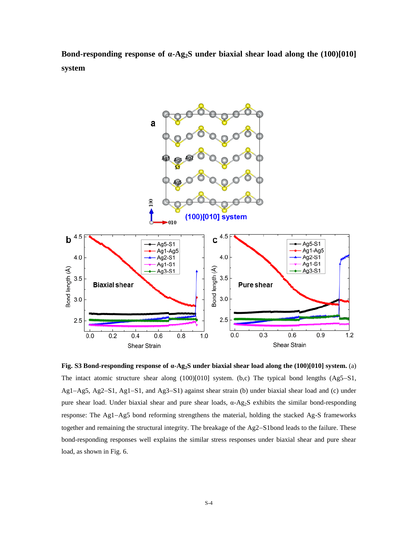**Bond-responding response of α-Ag2S under biaxial shear load along the (100)[010] system**



**Fig. S3 Bond-responding response of α-Ag2S under biaxial shear load along the (100)[010] system.** (a) The intact atomic structure shear along  $(100)[010]$  system. (b,c) The typical bond lengths  $(Ag5-S1,$  $Ag1-Ag5$ ,  $Ag2-S1$ ,  $Ag1-S1$ , and  $Ag3-S1$ ) against shear strain (b) under biaxial shear load and (c) under pure shear load. Under biaxial shear and pure shear loads, α-Ag2S exhibits the similar bond-responding response: The Ag1-Ag5 bond reforming strengthens the material, holding the stacked Ag-S frameworks together and remaining the structural integrity. The breakage of the Ag2-S1bond leads to the failure. These bond-responding responses well explains the similar stress responses under biaxial shear and pure shear load, as shown in Fig. 6.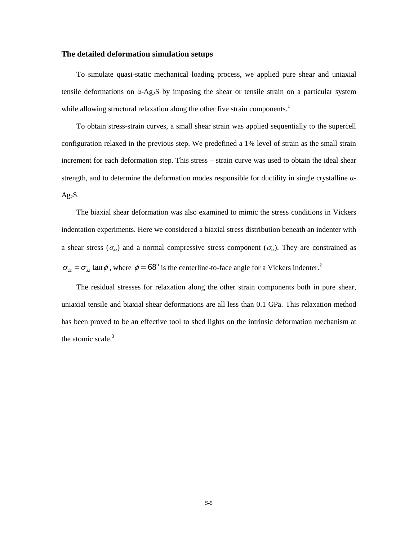## **The detailed deformation simulation setups**

 To simulate quasi-static mechanical loading process, we applied pure shear and uniaxial tensile deformations on  $\alpha$ -Ag<sub>2</sub>S by imposing the shear or tensile strain on a particular system while allowing structural relaxation along the other five strain components.<sup>1</sup>

 To obtain stress-strain curves, a small shear strain was applied sequentially to the supercell configuration relaxed in the previous step. We predefined a 1% level of strain as the small strain increment for each deformation step. This stress – strain curve was used to obtain the ideal shear strength, and to determine the deformation modes responsible for ductility in single crystalline α- $Ag<sub>2</sub>S$ .

 The biaxial shear deformation was also examined to mimic the stress conditions in Vickers indentation experiments. Here we considered a biaxial stress distribution beneath an indenter with a shear stress ( $\sigma_{xz}$ ) and a normal compressive stress component ( $\sigma_{zz}$ ). They are constrained as  $\sigma_{z} = \sigma_{z} \tan \phi$ , where  $\phi = 68^{\circ}$  is the centerline-to-face angle for a Vickers indenter.<sup>2</sup>

 The residual stresses for relaxation along the other strain components both in pure shear, uniaxial tensile and biaxial shear deformations are all less than 0.1 GPa. This relaxation method has been proved to be an effective tool to shed lights on the intrinsic deformation mechanism at the atomic scale.<sup>3</sup>